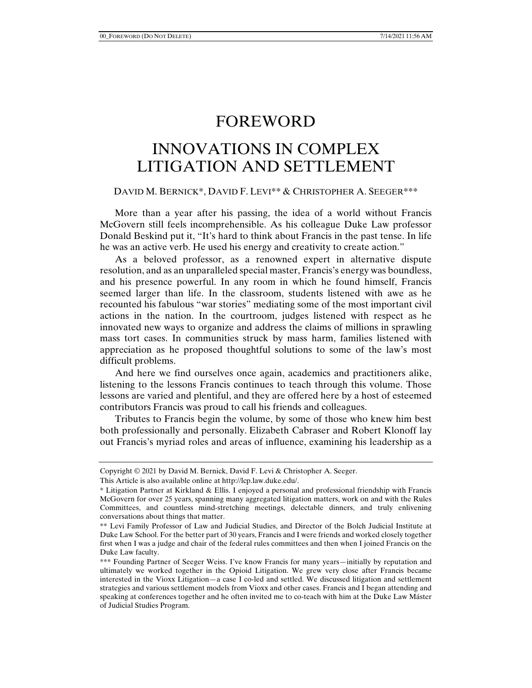## FOREWORD

## INNOVATIONS IN COMPLEX LITIGATION AND SETTLEMENT

## DAVID M. BERNICK\*, DAVID F. LEVI\*\* & CHRISTOPHER A. SEEGER\*\*\*

More than a year after his passing, the idea of a world without Francis McGovern still feels incomprehensible. As his colleague Duke Law professor Donald Beskind put it, "It's hard to think about Francis in the past tense. In life he was an active verb. He used his energy and creativity to create action."

As a beloved professor, as a renowned expert in alternative dispute resolution, and as an unparalleled special master, Francis's energy was boundless, and his presence powerful. In any room in which he found himself, Francis seemed larger than life. In the classroom, students listened with awe as he recounted his fabulous "war stories" mediating some of the most important civil actions in the nation. In the courtroom, judges listened with respect as he innovated new ways to organize and address the claims of millions in sprawling mass tort cases. In communities struck by mass harm, families listened with appreciation as he proposed thoughtful solutions to some of the law's most difficult problems.

And here we find ourselves once again, academics and practitioners alike, listening to the lessons Francis continues to teach through this volume. Those lessons are varied and plentiful, and they are offered here by a host of esteemed contributors Francis was proud to call his friends and colleagues.

Tributes to Francis begin the volume, by some of those who knew him best both professionally and personally. Elizabeth Cabraser and Robert Klonoff lay out Francis's myriad roles and areas of influence, examining his leadership as a

Copyright © 2021 by David M. Bernick, David F. Levi & Christopher A. Seeger.

This Article is also available online at http://lcp.law.duke.edu/.

<sup>\*</sup> Litigation Partner at Kirkland & Ellis. I enjoyed a personal and professional friendship with Francis McGovern for over 25 years, spanning many aggregated litigation matters, work on and with the Rules Committees, and countless mind-stretching meetings, delectable dinners, and truly enlivening conversations about things that matter.

<sup>\*\*</sup> Levi Family Professor of Law and Judicial Studies, and Director of the Bolch Judicial Institute at Duke Law School. For the better part of 30 years, Francis and I were friends and worked closely together first when I was a judge and chair of the federal rules committees and then when I joined Francis on the Duke Law faculty.

<sup>\*\*\*</sup> Founding Partner of Seeger Weiss. I've know Francis for many years—initially by reputation and ultimately we worked together in the Opioid Litigation. We grew very close after Francis became interested in the Vioxx Litigation—a case I co-led and settled. We discussed litigation and settlement strategies and various settlement models from Vioxx and other cases. Francis and I began attending and speaking at conferences together and he often invited me to co-teach with him at the Duke Law Máster of Judicial Studies Program.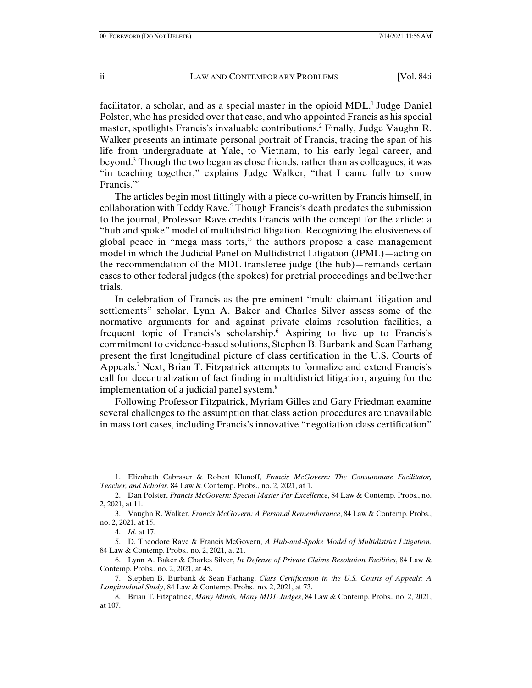facilitator, a scholar, and as a special master in the opioid MDL.<sup>1</sup> Judge Daniel Polster, who has presided over that case, and who appointed Francis as his special master, spotlights Francis's invaluable contributions.<sup>2</sup> Finally, Judge Vaughn R. Walker presents an intimate personal portrait of Francis, tracing the span of his life from undergraduate at Yale, to Vietnam, to his early legal career, and beyond.3 Though the two began as close friends, rather than as colleagues, it was "in teaching together," explains Judge Walker, "that I came fully to know Francis."4

The articles begin most fittingly with a piece co-written by Francis himself, in collaboration with Teddy Rave.<sup>5</sup> Though Francis's death predates the submission to the journal, Professor Rave credits Francis with the concept for the article: a "hub and spoke" model of multidistrict litigation. Recognizing the elusiveness of global peace in "mega mass torts," the authors propose a case management model in which the Judicial Panel on Multidistrict Litigation (JPML)—acting on the recommendation of the MDL transferee judge (the hub)—remands certain cases to other federal judges (the spokes) for pretrial proceedings and bellwether trials.

In celebration of Francis as the pre-eminent "multi-claimant litigation and settlements" scholar, Lynn A. Baker and Charles Silver assess some of the normative arguments for and against private claims resolution facilities, a frequent topic of Francis's scholarship.6 Aspiring to live up to Francis's commitment to evidence-based solutions, Stephen B. Burbank and Sean Farhang present the first longitudinal picture of class certification in the U.S. Courts of Appeals.<sup>7</sup> Next, Brian T. Fitzpatrick attempts to formalize and extend Francis's call for decentralization of fact finding in multidistrict litigation, arguing for the implementation of a judicial panel system.<sup>8</sup>

Following Professor Fitzpatrick, Myriam Gilles and Gary Friedman examine several challenges to the assumption that class action procedures are unavailable in mass tort cases, including Francis's innovative "negotiation class certification"

 <sup>1.</sup> Elizabeth Cabraser & Robert Klonoff, *Francis McGovern: The Consummate Facilitator, Teacher, and Scholar*, 84 Law & Contemp. Probs., no. 2, 2021, at 1.

 <sup>2.</sup> Dan Polster, *Francis McGovern: Special Master Par Excellence*, 84 Law & Contemp. Probs., no. 2, 2021, at 11.

 <sup>3.</sup> Vaughn R. Walker, *Francis McGovern: A Personal Rememberance*, 84 Law & Contemp. Probs., no. 2, 2021, at 15.

 <sup>4.</sup> *Id.* at 17.

 <sup>5.</sup> D. Theodore Rave & Francis McGovern, *A Hub-and-Spoke Model of Multidistrict Litigation*, 84 Law & Contemp. Probs., no. 2, 2021, at 21.

 <sup>6.</sup> Lynn A. Baker & Charles Silver, *In Defense of Private Claims Resolution Facilities*, 84 Law & Contemp. Probs., no. 2, 2021, at 45.

 <sup>7.</sup> Stephen B. Burbank & Sean Farhang, *Class Certification in the U.S. Courts of Appeals: A Longitutdinal Study*, 84 Law & Contemp. Probs., no. 2, 2021, at 73.

 <sup>8.</sup> Brian T. Fitzpatrick, *Many Minds, Many MDL Judges*, 84 Law & Contemp. Probs., no. 2, 2021, at 107.